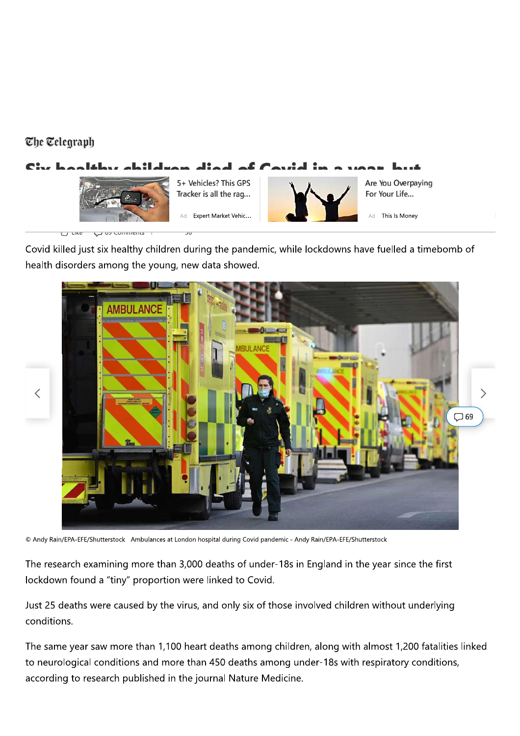# The Telegraph



5+ Vehicles? This GPS Tracker is all the rag...

Ad Expert Market Vehic...



Are You Overpaying For Your Life...

This Is Money

<u>לט ושווווווטט פט בקט</u>

Covid killed just six healthy children during the pandemic, while lockdowns have fuelled a timebomb of health disorders among the young, new data showed.



© Andy Rain/EPA-EFE/Shutterstock Ambulances at London hospital during Covid pandemic - Andy Rain/EPA-EFE/Shutterstock

The research examining more than 3,000 deaths of under-18s in England in the year since the first lockdown found a "tiny" proportion were linked to Covid.

Just 25 deaths were caused by the virus, and only six of those involved children without underlying conditions.

The same year saw more than 1,100 heart deaths among children, along with almost 1,200 fatalities linked to neurological conditions and more than 450 deaths among under-18s with respiratory conditions, according to research published in the journal Nature Medicine.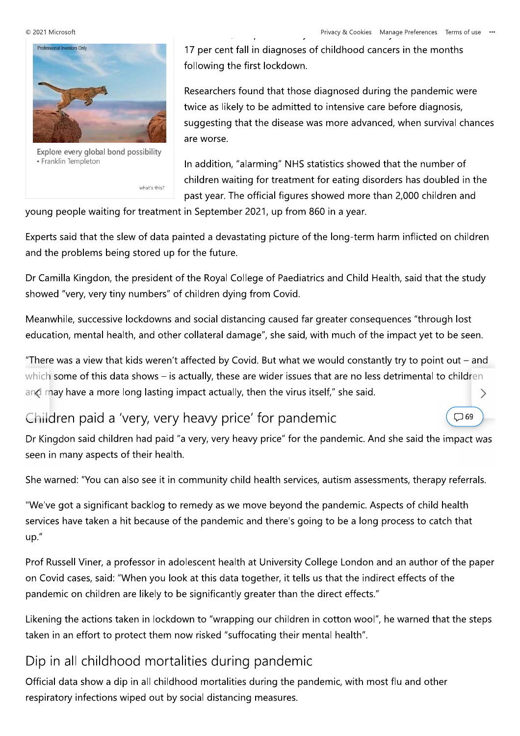$\bigcirc$  69

#### © 2021 Microsoft



Explore every global bond possibility • Franklin Templeton

what's this?

17 per cent fall in diagnoses of childhood cancers in the months following the first lockdown.

Researchers found that those diagnosed during the pandemic were twice as likely to be admitted to intensive care before diagnosis, suggesting that the disease was more advanced, when survival chances are worse.

In addition, "alarming" NHS statistics showed that the number of children waiting for treatment for eating disorders has doubled in the past year. The official figures showed more than 2,000 children and

young people waiting for treatment in September 2021, up from 860 in a year.

Experts said that the slew of data painted a devastating picture of the long-term harm inflicted on children and the problems being stored up for the future.

Dr Camilla Kingdon, the president of the Royal College of Paediatrics and Child Health, said that the study showed "very, very tiny numbers" of children dying from Covid.

Meanwhile, successive lockdowns and social distancing caused far greater consequences "through lost education, mental health, and other collateral damage", she said, with much of the impact yet to be seen.

"There was a view that kids weren't affected by Covid. But what we would constantly try to point out – and which some of this data shows  $-$  is actually, these are wider issues that are no less detrimental to children and may have a more long lasting impact actually, then the virus itself," she said.  $\left. \right\rangle$ 

# Children paid a 'very, very heavy price' for pandemic

Dr Kingdon said children had paid "a very, very heavy price" for the pandemic. And she said the impact was seen in many aspects of their health.

She warned: "You can also see it in community child health services, autism assessments, therapy referrals.

"We've got a significant backlog to remedy as we move beyond the pandemic. Aspects of child health services have taken a hit because of the pandemic and there's going to be a long process to catch that  $up.'$ 

Prof Russell Viner, a professor in adolescent health at University College London and an author of the paper on Covid cases, said: "When you look at this data together, it tells us that the indirect effects of the pandemic on children are likely to be significantly greater than the direct effects."

Likening the actions taken in lockdown to "wrapping our children in cotton wool", he warned that the steps taken in an effort to protect them now risked "suffocating their mental health".

# Dip in all childhood mortalities during pandemic

Official data show a dip in all childhood mortalities during the pandemic, with most flu and other respiratory infections wiped out by social distancing measures.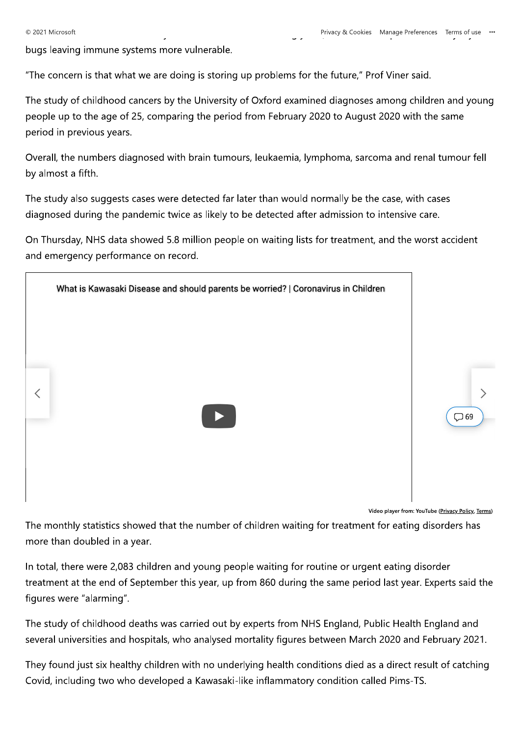bugs leaving immune systems more vulnerable.

"The concern is that what we are doing is storing up problems for the future," Prof Viner said.

The study of childhood cancers by the University of Oxford examined diagnoses among children and young people up to the age of 25, comparing the period from February 2020 to August 2020 with the same period in previous years.

Overall, the numbers diagnosed with brain tumours, leukaemia, lymphoma, sarcoma and renal tumour fell by almost a fifth.

The study also suggests cases were detected far later than would normally be the case, with cases diagnosed during the pandemic twice as likely to be detected after admission to intensive care.

On Thursday, NHS data showed 5.8 million people on waiting lists for treatment, and the worst accident and emergency performance on record.



Video player from: YouTube (Privacy Policy, Terms)

The monthly statistics showed that the number of children waiting for treatment for eating disorders has more than doubled in a year.

In total, there were 2,083 children and young people waiting for routine or urgent eating disorder treatment at the end of September this year, up from 860 during the same period last year. Experts said the figures were "alarming".

The study of childhood deaths was carried out by experts from NHS England, Public Health England and several universities and hospitals, who analysed mortality figures between March 2020 and February 2021.

They found just six healthy children with no underlying health conditions died as a direct result of catching Covid, including two who developed a Kawasaki-like inflammatory condition called Pims-TS.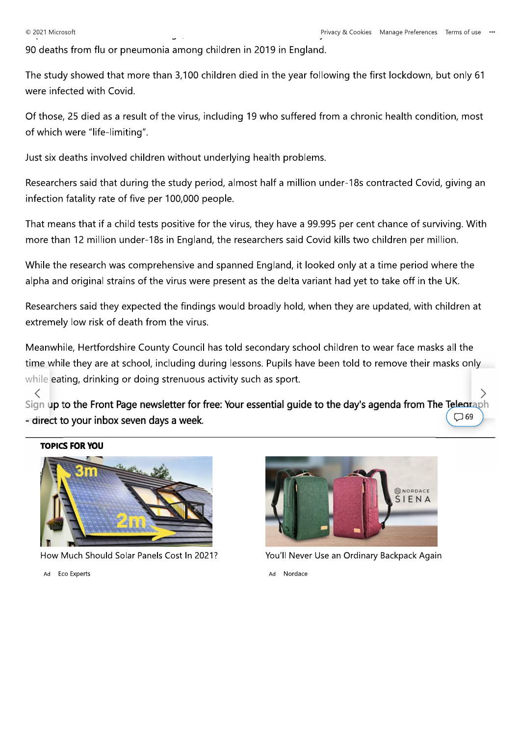90 deaths from flu or pneumonia among children in 2019 in England.

The study showed that more than 3,100 children died in the year following the first lockdown, but only 61 were infected with Covid.

Of those, 25 died as a result of the virus, including 19 who suffered from a chronic health condition, most of which were "life-limiting".

Just six deaths involved children without underlying health problems.

Researchers said that during the study period, almost half a million under-18s contracted Covid, giving an infection fatality rate of five per 100,000 people.

That means that if a child tests positive for the virus, they have a 99.995 per cent chance of surviving. With more than 12 million under-18s in England, the researchers said Covid kills two children per million.

While the research was comprehensive and spanned England, it looked only at a time period where the alpha and original strains of the virus were present as the delta variant had yet to take off in the UK.

Researchers said they expected the findings would broadly hold, when they are updated, with children at extremely low risk of death from the virus.

Meanwhile, Hertfordshire County Council has told secondary school children to wear face masks all the time while they are at school, including during lessons. Pupils have been told to remove their masks only while eating, drinking or doing strenuous activity such as sport.

Sign up to the Front Page newsletter for free: Your essential guide to the day's agenda from The Telegraph  $\Box$  69 - direct to your inbox seven days a week.

## **TOPICS FOR YOU**



How Much Should Solar Panels Cost In 2021? Ad Eco Experts



You'll Never Use an Ordinary Backpack Again

Ad Nordace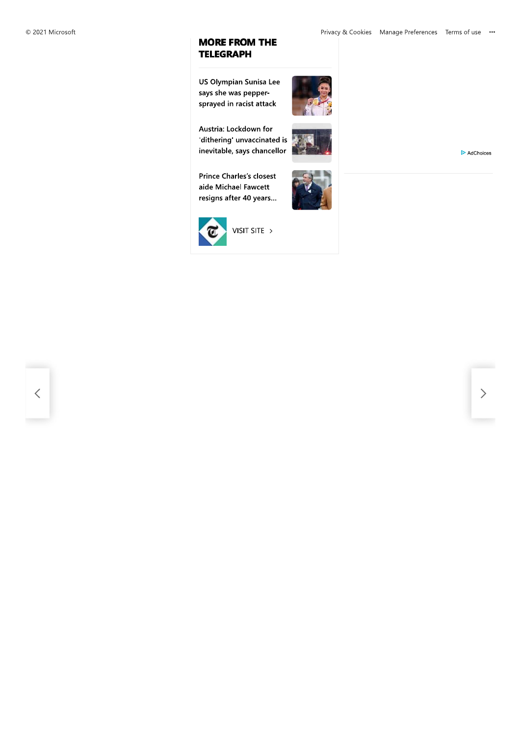$\hspace{0.1cm} <$ 

### **MORE FROM THE TELEGRAPH**

US Olympian Sunisa Lee says she was peppersprayed in racist attack

Austria: Lockdown for 'dithering' unvaccinated is inevitable, says chancellor

**Prince Charles's closest** aide Michael Fawcett resigns after 40 years...





VISIT SITE  $\rightarrow$ 

 $\triangleright$  AdChoices

 $\left\langle \right\rangle$